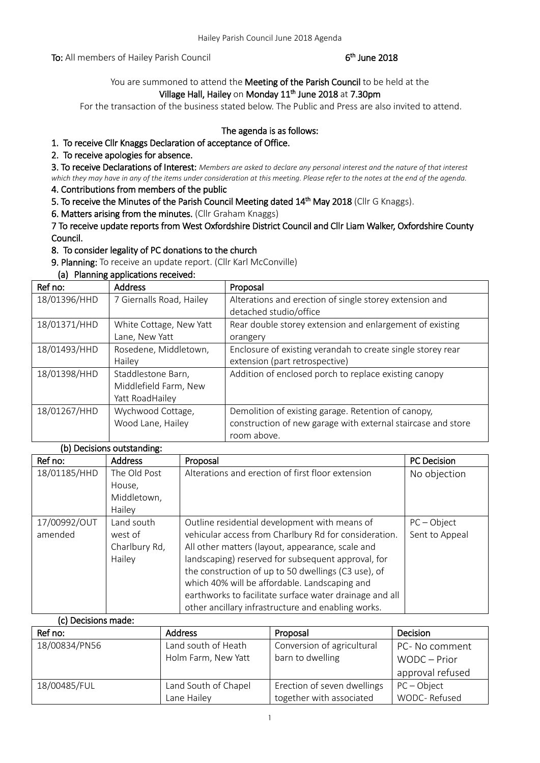To: All members of Hailey Parish Council

## <sup>th</sup> June 2018

You are summoned to attend the Meeting of the Parish Council to be held at the Village Hall, Hailey on Monday 11<sup>th</sup> June 2018 at 7.30pm

For the transaction of the business stated below. The Public and Press are also invited to attend.

# The agenda is as follows:

## 1. To receive Cllr Knaggs Declaration of acceptance of Office.

### 2. To receive apologies for absence.

3. To receive Declarations of Interest: *Members are asked to declare any personal interest and the nature of that interest which they may have in any of the items under consideration at this meeting. Please refer to the notes at the end of the agenda.*

4. Contributions from members of the public

5. To receive the Minutes of the Parish Council Meeting dated 14<sup>th</sup> May 2018 (Cllr G Knaggs).

6. Matters arising from the minutes. (Cllr Graham Knaggs)

7 To receive update reports from West Oxfordshire District Council and Cllr Liam Walker, Oxfordshire County Council.

8. To consider legality of PC donations to the church

9. Planning: To receive an update report. (Cllr Karl McConville)

### (a) Planning applications received:

| Ref no:      | <b>Address</b>           | Proposal                                                     |
|--------------|--------------------------|--------------------------------------------------------------|
| 18/01396/HHD | 7 Giernalls Road, Hailey | Alterations and erection of single storey extension and      |
|              |                          | detached studio/office                                       |
| 18/01371/HHD | White Cottage, New Yatt  | Rear double storey extension and enlargement of existing     |
|              | Lane, New Yatt           | orangery                                                     |
| 18/01493/HHD | Rosedene, Middletown,    | Enclosure of existing verandah to create single storey rear  |
|              | Hailey                   | extension (part retrospective)                               |
| 18/01398/HHD | Staddlestone Barn,       | Addition of enclosed porch to replace existing canopy        |
|              | Middlefield Farm, New    |                                                              |
|              | Yatt RoadHailey          |                                                              |
| 18/01267/HHD | Wychwood Cottage,        | Demolition of existing garage. Retention of canopy,          |
|              | Wood Lane, Hailey        | construction of new garage with external staircase and store |
|              |                          | room above.                                                  |

### (b) Decisions outstanding:

| Ref no:             | <b>Address</b> | Proposal                                                | <b>PC</b> Decision |
|---------------------|----------------|---------------------------------------------------------|--------------------|
| 18/01185/HHD        | The Old Post   | Alterations and erection of first floor extension       | No objection       |
|                     | House,         |                                                         |                    |
|                     | Middletown,    |                                                         |                    |
|                     | Hailey         |                                                         |                    |
| 17/00992/OUT        | Land south     | Outline residential development with means of           | $PC - Object$      |
| amended             | west of        | vehicular access from Charlbury Rd for consideration.   | Sent to Appeal     |
|                     | Charlbury Rd,  | All other matters (layout, appearance, scale and        |                    |
|                     | Hailey         | landscaping) reserved for subsequent approval, for      |                    |
|                     |                | the construction of up to 50 dwellings (C3 use), of     |                    |
|                     |                | which 40% will be affordable. Landscaping and           |                    |
|                     |                | earthworks to facilitate surface water drainage and all |                    |
|                     |                | other ancillary infrastructure and enabling works.      |                    |
| (c) Decisions made: |                |                                                         |                    |

| ורו מוטוויו פוניטסטן, ניין של |                      |                             |                  |
|-------------------------------|----------------------|-----------------------------|------------------|
| Ref no:                       | <b>Address</b>       | Proposal                    | <b>Decision</b>  |
| 18/00834/PN56                 | Land south of Heath  | Conversion of agricultural  | PC- No comment   |
|                               | Holm Farm, New Yatt  | barn to dwelling            | WODC - Prior     |
|                               |                      |                             | approval refused |
| 18/00485/FUL                  | Land South of Chapel | Erection of seven dwellings | $PC - Object$    |
|                               | Lane Hailey          | together with associated    | WODC-Refused     |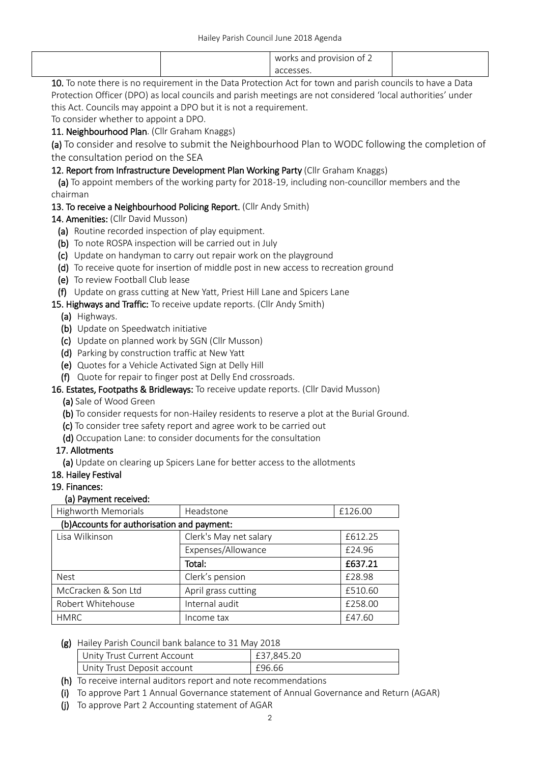|                                                                                                            |  | works and provision of 2 |  |
|------------------------------------------------------------------------------------------------------------|--|--------------------------|--|
|                                                                                                            |  | accesses.                |  |
| 10. To note there is no requirement in the Data Protection Act for town and parish councils to have a Data |  |                          |  |

Protection Officer (DPO) as local councils and parish meetings are not considered 'local authorities' under this Act. Councils may appoint a DPO but it is not a requirement.

To consider whether to appoint a DPO.

### 11. Neighbourhood Plan. (Cllr Graham Knaggs)

(a) To consider and resolve to submit the Neighbourhood Plan to WODC following the completion of the consultation period on the SEA

### 12. Report from Infrastructure Development Plan Working Party (Cllr Graham Knaggs)

 (a) To appoint members of the working party for 2018-19, including non-councillor members and the chairman

## 13. To receive a Neighbourhood Policing Report. (Cllr Andy Smith)

14. Amenities: (Cllr David Musson)

- (a) Routine recorded inspection of play equipment.
- (b) To note ROSPA inspection will be carried out in July
- (c) Update on handyman to carry out repair work on the playground
- (d) To receive quote for insertion of middle post in new access to recreation ground
- (e) To review Football Club lease
- (f) Update on grass cutting at New Yatt, Priest Hill Lane and Spicers Lane

15. Highways and Traffic: To receive update reports. (Cllr Andy Smith)

- (a) Highways.
- (b) Update on Speedwatch initiative
- (c) Update on planned work by SGN (Cllr Musson)
- (d) Parking by construction traffic at New Yatt
- (e) Quotes for a Vehicle Activated Sign at Delly Hill
- (f) Quote for repair to finger post at Delly End crossroads.

### 16. Estates, Footpaths & Bridleways: To receive update reports. (Cllr David Musson)

- (a) Sale of Wood Green
- (b) To consider requests for non-Hailey residents to reserve a plot at the Burial Ground.
- (c) To consider tree safety report and agree work to be carried out
- (d) Occupation Lane: to consider documents for the consultation

### 17. Allotments

(a) Update on clearing up Spicers Lane for better access to the allotments

18. Hailey Festival

### 19. Finances:

### (a) Payment received:

| <b>Highworth Memorials</b>                                  | Headstone |  |
|-------------------------------------------------------------|-----------|--|
| $\left( h \right)$ and unto for authorization and no meant. |           |  |

| (b)Accounts for authorisation and payment: |                        |         |  |
|--------------------------------------------|------------------------|---------|--|
| Lisa Wilkinson                             | Clerk's May net salary | £612.25 |  |
|                                            | Expenses/Allowance     | £24.96  |  |
|                                            | Total:                 | £637.21 |  |
| <b>Nest</b>                                | Clerk's pension        | £28.98  |  |
| McCracken & Son Ltd                        | April grass cutting    | £510.60 |  |
| Robert Whitehouse                          | Internal audit         | £258.00 |  |
| <b>HMRC</b>                                | Income tax             | £47.60  |  |

### (g) Hailey Parish Council bank balance to 31 May 2018

| Unity Trust Current Account | £37.845.20 |
|-----------------------------|------------|
| Unity Trust Deposit account | £96.66     |

- (h) To receive internal auditors report and note recommendations
- (i) To approve Part 1 Annual Governance statement of Annual Governance and Return (AGAR)
- (j) To approve Part 2 Accounting statement of AGAR